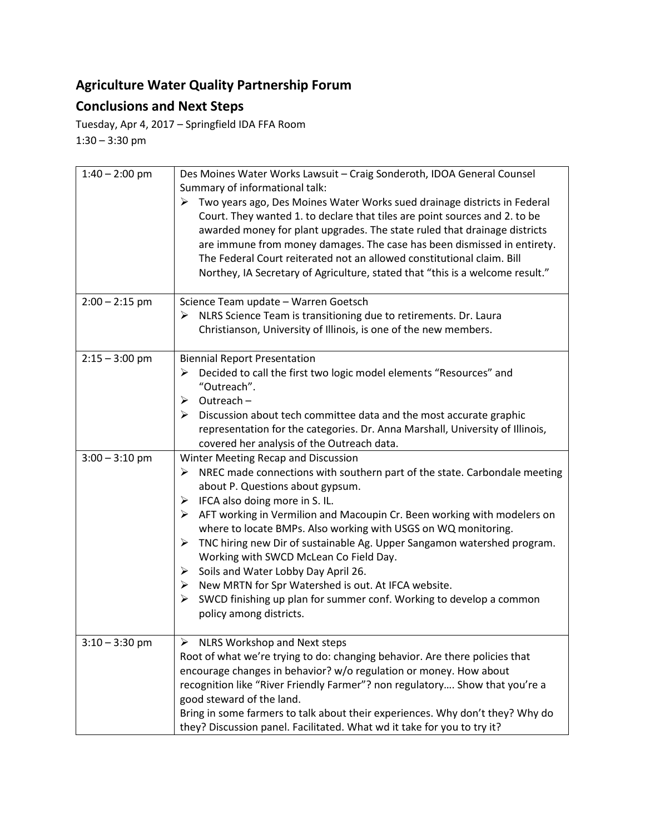## **Agriculture Water Quality Partnership Forum**

## **Conclusions and Next Steps**

Tuesday, Apr 4, 2017 – Springfield IDA FFA Room 1:30 – 3:30 pm

| $1:40 - 2:00$ pm | Des Moines Water Works Lawsuit - Craig Sonderoth, IDOA General Counsel<br>Summary of informational talk:<br>$\triangleright$ Two years ago, Des Moines Water Works sued drainage districts in Federal<br>Court. They wanted 1. to declare that tiles are point sources and 2. to be<br>awarded money for plant upgrades. The state ruled that drainage districts<br>are immune from money damages. The case has been dismissed in entirety.<br>The Federal Court reiterated not an allowed constitutional claim. Bill<br>Northey, IA Secretary of Agriculture, stated that "this is a welcome result."                                                                                                                                           |
|------------------|--------------------------------------------------------------------------------------------------------------------------------------------------------------------------------------------------------------------------------------------------------------------------------------------------------------------------------------------------------------------------------------------------------------------------------------------------------------------------------------------------------------------------------------------------------------------------------------------------------------------------------------------------------------------------------------------------------------------------------------------------|
| $2:00 - 2:15$ pm | Science Team update - Warren Goetsch<br>NLRS Science Team is transitioning due to retirements. Dr. Laura<br>➤<br>Christianson, University of Illinois, is one of the new members.                                                                                                                                                                                                                                                                                                                                                                                                                                                                                                                                                                |
| $2:15 - 3:00$ pm | <b>Biennial Report Presentation</b><br>Decided to call the first two logic model elements "Resources" and<br>➤<br>"Outreach".<br>$\triangleright$ Outreach –<br>$\triangleright$ Discussion about tech committee data and the most accurate graphic<br>representation for the categories. Dr. Anna Marshall, University of Illinois,<br>covered her analysis of the Outreach data.                                                                                                                                                                                                                                                                                                                                                               |
| $3:00 - 3:10$ pm | Winter Meeting Recap and Discussion<br>NREC made connections with southern part of the state. Carbondale meeting<br>➤<br>about P. Questions about gypsum.<br>$\triangleright$ IFCA also doing more in S. IL.<br>$\triangleright$ AFT working in Vermilion and Macoupin Cr. Been working with modelers on<br>where to locate BMPs. Also working with USGS on WQ monitoring.<br>$\blacktriangleright$<br>TNC hiring new Dir of sustainable Ag. Upper Sangamon watershed program.<br>Working with SWCD McLean Co Field Day.<br>> Soils and Water Lobby Day April 26.<br>$\triangleright$ New MRTN for Spr Watershed is out. At IFCA website.<br>SWCD finishing up plan for summer conf. Working to develop a common<br>➤<br>policy among districts. |
| $3:10 - 3:30$ pm | NLRS Workshop and Next steps<br>Root of what we're trying to do: changing behavior. Are there policies that<br>encourage changes in behavior? w/o regulation or money. How about<br>recognition like "River Friendly Farmer"? non regulatory Show that you're a<br>good steward of the land.<br>Bring in some farmers to talk about their experiences. Why don't they? Why do<br>they? Discussion panel. Facilitated. What wd it take for you to try it?                                                                                                                                                                                                                                                                                         |